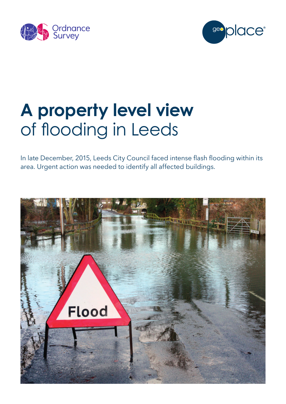



# **A property level view**  of flooding in Leeds

In late December, 2015, Leeds City Council faced intense flash flooding within its area. Urgent action was needed to identify all affected buildings.